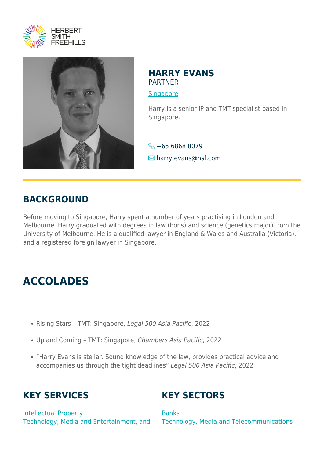



#### **HARRY EVANS** PARTNER

**[Singapore](https://www.herbertsmithfreehills.com/lang-zh-hans/where-we-work/singapore)** 

Harry is a senior IP and TMT specialist based in Singapore.

 $\leftarrow +6568688079$ 

 $\blacksquare$  harry.evans@hsf.com

### **BACKGROUND**

Before moving to Singapore, Harry spent a number of years practising in London and Melbourne. Harry graduated with degrees in law (hons) and science (genetics major) from the University of Melbourne. He is a qualified lawyer in England & Wales and Australia (Victoria), and a registered foreign lawyer in Singapore.

# **ACCOLADES**

- Rising Stars TMT: Singapore, Legal 500 Asia Pacific, 2022
- Up and Coming TMT: Singapore, Chambers Asia Pacific, 2022
- "Harry Evans is stellar. Sound knowledge of the law, provides practical advice and accompanies us through the tight deadlines" Legal 500 Asia Pacific, 2022

# **KEY SERVICES**

**KEY SECTORS**

Intellectual Property Technology, Media and Entertainment, and

**Banks** Technology, Media and Telecommunications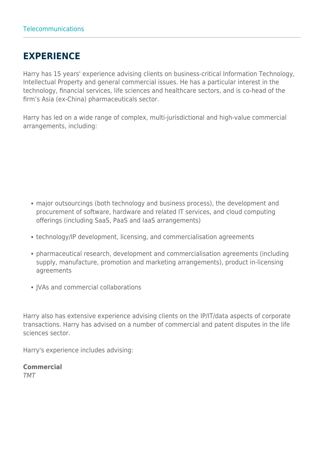# **EXPERIENCE**

Harry has 15 years' experience advising clients on business-critical Information Technology, Intellectual Property and general commercial issues. He has a particular interest in the technology, financial services, life sciences and healthcare sectors, and is co-head of the firm's Asia (ex-China) pharmaceuticals sector.

Harry has led on a wide range of complex, multi-jurisdictional and high-value commercial arrangements, including:

- major outsourcings (both technology and business process), the development and procurement of software, hardware and related IT services, and cloud computing offerings (including SaaS, PaaS and IaaS arrangements)
- technology/IP development, licensing, and commercialisation agreements
- pharmaceutical research, development and commercialisation agreements (including supply, manufacture, promotion and marketing arrangements), product in-licensing agreements
- JVAs and commercial collaborations

Harry also has extensive experience advising clients on the IP/IT/data aspects of corporate transactions. Harry has advised on a number of commercial and patent disputes in the life sciences sector.

Harry's experience includes advising:

**Commercial** TMT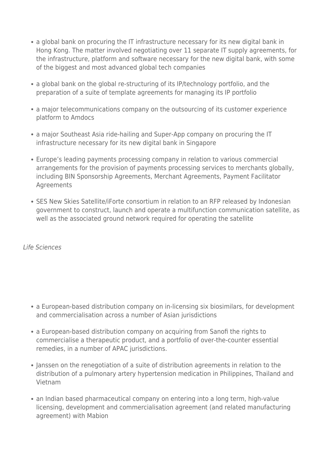- a global bank on procuring the IT infrastructure necessary for its new digital bank in Hong Kong. The matter involved negotiating over 11 separate IT supply agreements, for the infrastructure, platform and software necessary for the new digital bank, with some of the biggest and most advanced global tech companies
- a global bank on the global re-structuring of its IP/technology portfolio, and the preparation of a suite of template agreements for managing its IP portfolio
- a major telecommunications company on the outsourcing of its customer experience platform to Amdocs
- a major Southeast Asia ride-hailing and Super-App company on procuring the IT infrastructure necessary for its new digital bank in Singapore
- Europe's leading payments processing company in relation to various commercial arrangements for the provision of payments processing services to merchants globally, including BIN Sponsorship Agreements, Merchant Agreements, Payment Facilitator Agreements
- SES New Skies Satellite/iForte consortium in relation to an RFP released by Indonesian government to construct, launch and operate a multifunction communication satellite, as well as the associated ground network required for operating the satellite

Life Sciences

- a European-based distribution company on in-licensing six biosimilars, for development and commercialisation across a number of Asian jurisdictions
- a European-based distribution company on acquiring from Sanofi the rights to commercialise a therapeutic product, and a portfolio of over-the-counter essential remedies, in a number of APAC jurisdictions.
- Janssen on the renegotiation of a suite of distribution agreements in relation to the distribution of a pulmonary artery hypertension medication in Philippines, Thailand and Vietnam
- an Indian based pharmaceutical company on entering into a long term, high-value licensing, development and commercialisation agreement (and related manufacturing agreement) with Mabion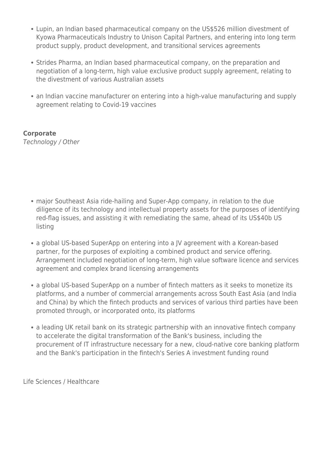- Lupin, an Indian based pharmaceutical company on the US\$526 million divestment of Kyowa Pharmaceuticals Industry to Unison Capital Partners, and entering into long term product supply, product development, and transitional services agreements
- Strides Pharma, an Indian based pharmaceutical company, on the preparation and negotiation of a long-term, high value exclusive product supply agreement, relating to the divestment of various Australian assets
- an Indian vaccine manufacturer on entering into a high-value manufacturing and supply agreement relating to Covid-19 vaccines

**Corporate**

Technology / Other

- major Southeast Asia ride-hailing and Super-App company, in relation to the due diligence of its technology and intellectual property assets for the purposes of identifying red-flag issues, and assisting it with remediating the same, ahead of its US\$40b US listing
- a global US-based SuperApp on entering into a JV agreement with a Korean-based partner, for the purposes of exploiting a combined product and service offering. Arrangement included negotiation of long-term, high value software licence and services agreement and complex brand licensing arrangements
- a global US-based SuperApp on a number of fintech matters as it seeks to monetize its platforms, and a number of commercial arrangements across South East Asia (and India and China) by which the fintech products and services of various third parties have been promoted through, or incorporated onto, its platforms
- a leading UK retail bank on its strategic partnership with an innovative fintech company to accelerate the digital transformation of the Bank's business, including the procurement of IT infrastructure necessary for a new, cloud-native core banking platform and the Bank's participation in the fintech's Series A investment funding round

Life Sciences / Healthcare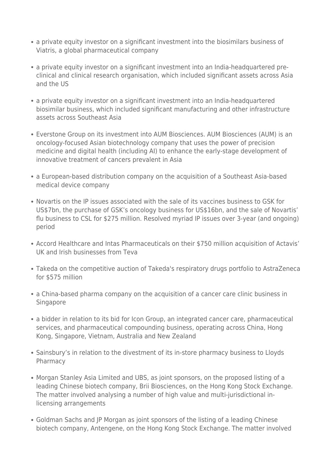- a private equity investor on a significant investment into the biosimilars business of Viatris, a global pharmaceutical company
- a private equity investor on a significant investment into an India-headquartered preclinical and clinical research organisation, which included significant assets across Asia and the US
- a private equity investor on a significant investment into an India-headquartered biosimilar business, which included significant manufacturing and other infrastructure assets across Southeast Asia
- Everstone Group on its investment into AUM Biosciences. AUM Biosciences (AUM) is an oncology-focused Asian biotechnology company that uses the power of precision medicine and digital health (including AI) to enhance the early-stage development of innovative treatment of cancers prevalent in Asia
- a European-based distribution company on the acquisition of a Southeast Asia-based medical device company
- Novartis on the IP issues associated with the sale of its vaccines business to GSK for US\$7bn, the purchase of GSK's oncology business for US\$16bn, and the sale of Novartis' flu business to CSL for \$275 million. Resolved myriad IP issues over 3-year (and ongoing) period
- Accord Healthcare and Intas Pharmaceuticals on their \$750 million acquisition of Actavis' UK and Irish businesses from Teva
- Takeda on the competitive auction of Takeda's respiratory drugs portfolio to AstraZeneca for \$575 million
- a China-based pharma company on the acquisition of a cancer care clinic business in Singapore
- a bidder in relation to its bid for Icon Group, an integrated cancer care, pharmaceutical services, and pharmaceutical compounding business, operating across China, Hong Kong, Singapore, Vietnam, Australia and New Zealand
- Sainsbury's in relation to the divestment of its in-store pharmacy business to Lloyds Pharmacy
- Morgan Stanley Asia Limited and UBS, as joint sponsors, on the proposed listing of a leading Chinese biotech company, Brii Biosciences, on the Hong Kong Stock Exchange. The matter involved analysing a number of high value and multi-jurisdictional inlicensing arrangements
- Goldman Sachs and JP Morgan as joint sponsors of the listing of a leading Chinese biotech company, Antengene, on the Hong Kong Stock Exchange. The matter involved